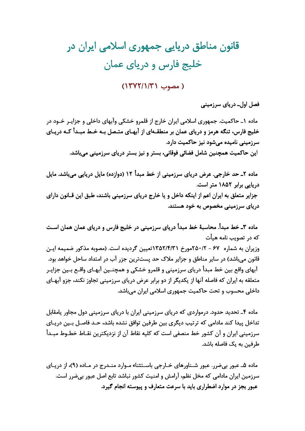## قانون مناطق دریایی جمهوری اسلامی ایران در خلیج فارس و دریای عمان

## ( مصوب ١٣٧٢/١/٣١)

فصل اول۔ دریای سرزمینی

ماده ۱ـ حاکمیت. جمهوری اسلامی ایران خارج از قلمرو خشکی وآبهای داخلی و جزایـر خـود در خلیج فارس، تنگه هرمز و دریای عمان بر منطقـهای از آبهـای متـصل بـه خـط مبـدأ کـه دریـای سرزمینی نامیده میشود نیز حاکمیت دارد. این حاکمیت همچنین شامل فضائی فوقانی، بستر و نیز بستر دریای سرزمینی میباشد.

ماده ۲ـ حد خارجي. عرض درياي سرزميني از خط مبدأ ۱۲ (دوازده) مايل دريايي ميباشد. مايل دریایی برابر ۱۸۵۲ متر است. جزایر متعلق به ایران اعم از اینکه داخل و یا خارج دریای سرزمینی باشند، طبق این قـانون دارای دریای سرزمینی مخصوص به خود هستند.

ماده ۳ـ خط مبدأ. محاسبهٔ خط مبدأ دریای سرزمینی در خلیج فارس و دریای عمان همان اسـت که در تصویب نامه هیأت وزیران به شماره ۶۷ - ۲۵۰/۲مورخ ۱۳۵۲/۴/۳۱تعیین گردیده است. (مصوبه مذکور ضمیمه ایـن قانون می باشد) در سایر مناطق و جزایر ملاک حد پستترین جزر آب در امتداد ساحل خواهد بود. آبهای واقع بین خط مبدأ دریای سرزمینی و قلمرو خشکی و همچنـین آبهـای واقـع بـین جزایـر متعلقه به ایران که فاصله آنها از یکدیگر از دو برابر عرض دریای سرزمینی تجاوز نکند، جزو آبهـای داخلي محسوب و تحت حاكميت جمهوري اسلامي ايران مي باشد.

ماده ۴ـ تحدید حدود. درمواردی که دریای سرزمینی ایران با دریای سرزمینی دول مجاور یامقابل تداخل پیدا کند مادامی که ترتیب دیگری بین طرفین توافق نشده باشد، حـد فاصـل بـین دریـای سرزمینی ایران و آن کشور خط منصفی است که کلیه نقاط آن از نزدیکترین نقـاط خطـوط مبـدأ طرفین به یک فاصله باشد.

ماده ۵ـ عبور بي ضرر. عبور شـناورهاي خـارجي باسـتثناء مـوارد منـدرج در مـاده (۹)، از دريـاي سرزمین ایران مادامی که مخل نظم، آرامش و امنیت کشور نباشد تابع اصل عبور بی ضرر است. عبور بجز در موارد اضطراری باید با سرعت متعارف و پیوسته انجام گیرد.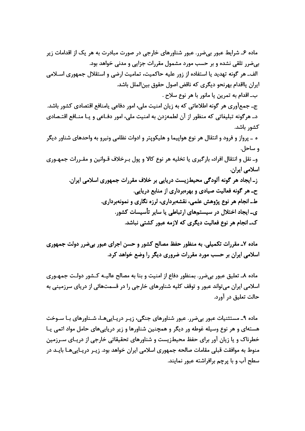ماده ۶ـ شرایط عبور بی ضرر. عبور شناورهای خارجی در صورت مبادرت به هر یک از اقدامات زیر بیضرر تلقی نشده و بر حسب مورد مشمول مقررات جزایی و مدنی خواهد بود. الف\_ هر گونه تهدید یا استفاده از زور علیه حاکمیت، تمامیت ارضی و استقلال جمهوری اسـلامی ايران يااقدام بهرنحو ديگري كه ناقض اصول حقوق بينالملل باشد. ب۔اقدام به تمرین یا مانور با هر نوع سلاح . ج۔ جمعآوری هر گونه اطلاعاتی که به زیان امنیت ملی، امور دفاعی یامنافع اقتصادی کشور باشد. دـ هرگونه تبلیغاتی که منظور از آن لطمهزدن به امنیت ملی، امور دفـاعی و یـا منـافع اقتـصادی كشور باشد. ه ــ پرواز و فرود و انتقال هر نوع هواپیما و هلیکوپتر و ادوات نظامی ونیرو به واحدهای شناور دیگر و ساحل. وـ نقل و انتقال افراد، بارګیری یا تخلیه هر نوع کالا و پول بـرخلاف قـوانین و مقـررات جمهـوری اسلامی ایران. ز۔ ایجاد هر گونه آلودگی محیطزیست دریایی بر خلاف مقررات جمهوری اسلامی ایران. حـ هر گونه فعالیت صیادی و بهرهبرداری از منابع دریایی. طــ انجام هر نوع پژوهش علمی، نقشهبرداری، لرزه نگاری و نمونهبرداری. ی۔ ایجاد اختلال در سیستمهای ارتباطی یا سایر تأسیسات کشور. ک۔انجام هر نوع فعالیت دیگری که لازمه عبور کشتی نباشد.

ماده ۷ـ مقررات تکمیلی. به منظور حفظ مصالح کشور و حسن اجرای عبور بیضرر دولت جمهوری اسلامی ایران بر حسب مورد مقررات ضروری دیگر را وضع خواهد کرد.

ماده ۸ـ تعلیق عبور بیضرر. بمنظور دفاع از امنیت و بنا به مصالح عالیــه کــشور دولــت جمهــوری اسلامی ایران میتواند عبور و توقف کلیه شناورهای خارجی را در قسمتهائی از دریای سرزمینی به حالت تعليق در آورد.

ماده ۹\_ مستثنیات عبور بی ضرر. عبور شناورهای جنگی، زیـر دریـاییهـا، شـناورهای بـا سـوخت هستهای و هر نوع وسیله غوطه ور دیگر و همچنین شناورها و زیر دریاییهای حامل مواد اتمی یـا خطرناک و یا زیان آور برای حفظ محیطزیست و شناورهای تحقیقاتی خارجی از دریـای سـرزمین منوط به موافقت قبلی مقامات صالحه جمهوری اسلامی ایران خواهد بود. زیـر دریـاییهـا بایـد در سطح آب و با پرچم برافراشته عبور نمایند.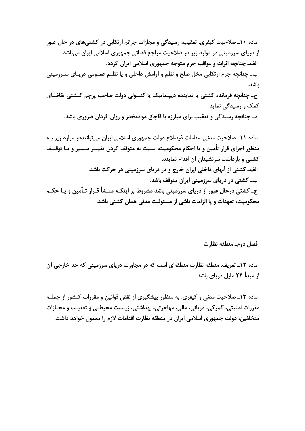ماده ۱۰ـ صلاحیت کیفری. تعقیب، رسیدگی و مجازات جرائم ارتکابی در کشتیهای در حال عبور از دریای سرزمینی در موارد زیر در صلاحیت مراجع قضائی جمهوری اسلامی ایران می باشد. الف\_ چنانچه اثرات و عواقب جرم متوجه جمهوری اسلامی ایران گردد. ب۔ چنانچه جرم ارتکابی مخل صلح و نظم و آرامش داخلی و یا نظـم عمـومی دریـای سـرزمینی ىاشد. ج۔ چنانچه فرماندہ کشتی یا نمایندہ دیپلماتیک یا کنسولی دولت صاحب پرچم کـشتی تقاضـای کمک و رسیدگی نماید. دـ چنانچه رسیدگی و تعقیب برای مبارزه با قاچاق موادمخدر و روان گردان ضروری باشد.

مادہ ١١ـ صلاحیت مدنی. مقامات ذیصلاح دولت جمهوری اسلامی ایران می تواننددر موارد زیر بـه منظور اجراي قرار تأمين و يا احكام محكوميت، نسبت به متوقف كردن تغييـر مـسير و يـا توقيـف کشتی و بازداشت سرنشینان آن اقدام نمایند. الف۔ کشتی از آبهای داخلی ایران خارج و در دریای سرزمینی در حرکت باشد. ب۔ کشتی در دریای سرزمینی ایران متوقف باشد. ج۔ کشتی درحال عبور از دریای سرزمینی باشد مشروط بر اینکـه منــشأ قـرار تـأمین و یـا حکـم محکومیت، تعهدات و یا الزامات ناشی از مسئولیت مدنی همان کشتی باشد.

فصل دومـ منطقه نظارت

ماده ۱۲ـ تعریف. منطقه نظارت منطقهای است که در مجاورت دریای سرزمینی که حد خارجی آن از مبدأ ۲۴ مایل دریای باشد.

ماده ۱۳ـ صلاحیت مدنی و کیفری. به منظور پیشگیری از نقض قوانین و مقررات کـشور از جملـه مقررات امنيتي، گمر کي، دريائي، مالي، مهاجرتي، بهداشتي، زيـست محيطـي و تعقيـب و مجـازات متخلفین، دولت جمهوری اسلامی ایران در منطقه نظارت اقدامات لازم را معمول خواهد داشت.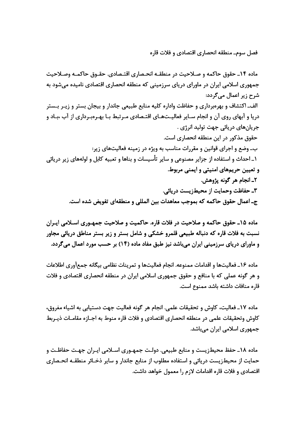فصل سوم\_ منطقه انحصاري اقتصادي و فلات قاره

ماده ۱۴ـ حقوق حاکمه و صـلاحيت در منطقـه انحـصاري اقتـصادي. حقـوق حاکمـه وصـلاحيت جمهوری اسلامی ایران در ماورای دریای سرزمینی که منطقه انحصاری اقتصادی نامیده میشود به شرح زیر اعمال مے گردد: الف\_اکتشاف و بهرهبرداری و حفاظت واداره کلیه منابع طبیعی جاندار و بیجان بستر و زیـر بـستر دریا و آبهای روی آن و انجام سـایر فعالیـتهـای اقتـصادی مـرتبط بـا بهـرهبـرداری از آب ،بـاد و جريانهاي دريائي جهت توليد انرژي . حقوق مذکور در این منطقه انحصاری است. ب۔ وضع و اجرای قوانین و مقررات مناسب به ویژه در زمینه فعالیتهای زیر: ١ـ احداث و استفاده از جزاير مصنوعي و ساير تأسيسات و بناها و تعبيه كابل و لولههاي زير دريائي و تعیین حریمهای امنیتی و ایمنی مربوط. ٢ـ انجام هر گونه پژوهش. ۳ـ حفاظت وحمايت از محيطزيست دريائي. جـ اعمال حقوق حاكمه كه بموجب معاهدات بين المللي و منطقهاي تفويض شده است.

ماده ۱۵ـ حقوق حاکمه و صلاحیت در فلات قاره. حاکمیت و صلاحیت جمهـوری اسـلامی ایـران نسبت به فلات قاره که دنباله طبیعی قلمرو خشکی و شامل بستر و زیر بستر مناطق دریائی مجاور و ماورای دریای سرزمینی ایران می باشد نیز طبق مفاد ماده (۱۴) بر حسب مورد اعمال می گردد.

ماده ۱۶ـ فعالیتها و اقدامات ممنوعه. انجام فعالیتها و تمرینات نظامی بیگانه جمعآوری اطلاعات و هر گونه عملی که با منافع و حقوق جمهوری اسلامی ایران در منطقه انحصاری اقتصادی و فلات قاره منافات داشته باشد ممنوع است.

ماده ١٧ـ فعاليت، كاوش و تحقيقات علمي. انجام هر گونه فعاليت جهت دستيابي به اشياء مغروق، کاوش وتحقیقات علمی در منطقه انحصاری اقتصادی و فلات قاره منوط به اجـازه مقامـات ذیـربط جمهوری اسلامی ایران میباشد.

ماده ١٨ـ حفظ محيطزيست و منابع طبيعي. دولـت جمهـوري اسـلامي ايـران جهـت حفاظـت و حمایت از محیطزیست دریائی و استفاده مطلوب از منابع جاندار و سایر ذخـائر منطقــه انحـصاری اقتصادی و فلات قاره اقدامات لازم را معمول خواهد داشت.